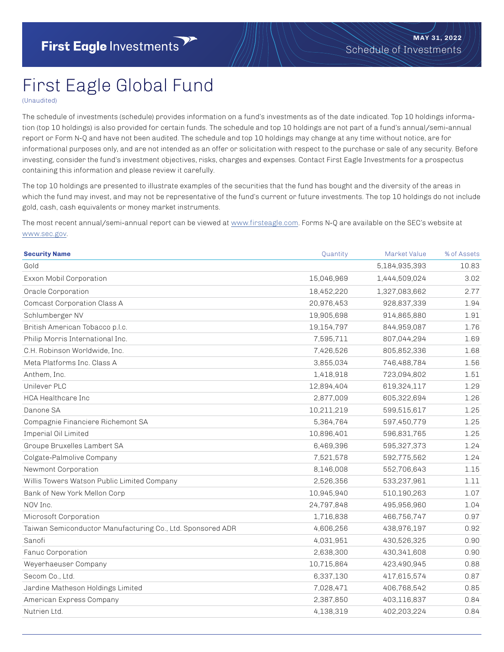## First Eagle Global Fund

(Unaudited)

The schedule of investments (schedule) provides information on a fund's investments as of the date indicated. Top 10 holdings information (top 10 holdings) is also provided for certain funds. The schedule and top 10 holdings are not part of a fund's annual/semi-annual report or Form N-Q and have not been audited. The schedule and top 10 holdings may change at any time without notice, are for informational purposes only, and are not intended as an offer or solicitation with respect to the purchase or sale of any security. Before investing, consider the fund's investment objectives, risks, charges and expenses. Contact First Eagle Investments for a prospectus containing this information and please review it carefully.

The top 10 holdings are presented to illustrate examples of the securities that the fund has bought and the diversity of the areas in which the fund may invest, and may not be representative of the fund's current or future investments. The top 10 holdings do not include gold, cash, cash equivalents or money market instruments.

The most recent annual/semi-annual report can be viewed at [www.firsteagle.com](https://firsteagle.com). Forms N-Q are available on the SEC's website at [www.sec.gov.](https://www.sec.gov)

| <b>Security Name</b>                                       | Quantity   | Market Value  | % of Assets |
|------------------------------------------------------------|------------|---------------|-------------|
| Gold                                                       |            | 5,184,935,393 | 10.83       |
| Exxon Mobil Corporation                                    | 15,046,969 | 1,444,509,024 | 3.02        |
| Oracle Corporation                                         | 18,452,220 | 1,327,083,662 | 2.77        |
| Comcast Corporation Class A                                | 20,976,453 | 928,837,339   | 1.94        |
| Schlumberger NV                                            | 19,905,698 | 914,865,880   | 1.91        |
| British American Tobacco p.l.c.                            | 19,154,797 | 844,959,087   | 1.76        |
| Philip Morris International Inc.                           | 7,595,711  | 807,044,294   | 1.69        |
| C.H. Robinson Worldwide, Inc.                              | 7,426,526  | 805,852,336   | 1.68        |
| Meta Platforms Inc. Class A                                | 3,855,034  | 746,488,784   | 1.56        |
| Anthem, Inc.                                               | 1,418,918  | 723,094,802   | 1.51        |
| Unilever PLC                                               | 12,894,404 | 619,324,117   | 1.29        |
| <b>HCA Healthcare Inc</b>                                  | 2,877,009  | 605,322,694   | 1.26        |
| Danone SA                                                  | 10,211,219 | 599,515,617   | 1.25        |
| Compagnie Financiere Richemont SA                          | 5,364,764  | 597,450,779   | 1.25        |
| Imperial Oil Limited                                       | 10,896,401 | 596,831,765   | 1.25        |
| Groupe Bruxelles Lambert SA                                | 6,469,396  | 595,327,373   | 1.24        |
| Colgate-Palmolive Company                                  | 7,521,578  | 592,775,562   | 1.24        |
| Newmont Corporation                                        | 8,146,008  | 552,706,643   | 1.15        |
| Willis Towers Watson Public Limited Company                | 2,526,356  | 533,237,961   | 1.11        |
| Bank of New York Mellon Corp                               | 10,945,940 | 510,190,263   | 1.07        |
| NOV Inc.                                                   | 24,797,848 | 495,956,960   | 1.04        |
| Microsoft Corporation                                      | 1,716,838  | 466,756,747   | 0.97        |
| Taiwan Semiconductor Manufacturing Co., Ltd. Sponsored ADR | 4,606,256  | 438,976,197   | 0.92        |
| Sanofi                                                     | 4,031,951  | 430,526,325   | 0.90        |
| Fanuc Corporation                                          | 2,638,300  | 430,341,608   | 0.90        |
| Weyerhaeuser Company                                       | 10,715,864 | 423,490,945   | 0.88        |
| Secom Co., Ltd.                                            | 6,337,130  | 417,615,574   | 0.87        |
| Jardine Matheson Holdings Limited                          | 7,028,471  | 406,768,542   | 0.85        |
| American Express Company                                   | 2,387,850  | 403,116,837   | 0.84        |
| Nutrien Ltd.                                               | 4,138,319  | 402,203,224   | 0.84        |
|                                                            |            |               |             |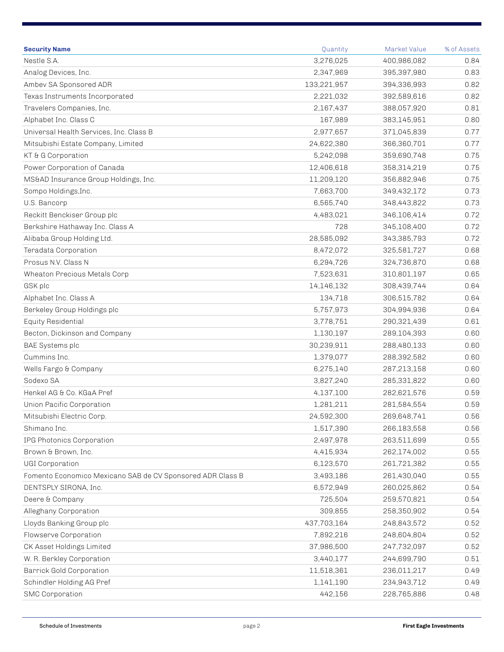| <b>Security Name</b>                                       | Quantity    | Market Value | % of Assets |
|------------------------------------------------------------|-------------|--------------|-------------|
| Nestle S.A.                                                | 3,276,025   | 400,986,082  | 0.84        |
| Analog Devices, Inc.                                       | 2,347,969   | 395,397,980  | 0.83        |
| Ambev SA Sponsored ADR                                     | 133,221,957 | 394,336,993  | 0.82        |
| Texas Instruments Incorporated                             | 2,221,032   | 392,589,616  | 0.82        |
| Travelers Companies, Inc.                                  | 2,167,437   | 388,057,920  | 0.81        |
| Alphabet Inc. Class C                                      | 167,989     | 383,145,951  | 0.80        |
| Universal Health Services, Inc. Class B                    | 2,977,657   | 371,045,839  | 0.77        |
| Mitsubishi Estate Company, Limited                         | 24,622,380  | 366,360,701  | 0.77        |
| KT & G Corporation                                         | 5,242,098   | 359,690,748  | 0.75        |
| Power Corporation of Canada                                | 12,406,618  | 358,314,219  | 0.75        |
| MS&AD Insurance Group Holdings, Inc.                       | 11,209,120  | 356,882,946  | 0.75        |
| Sompo Holdings, Inc.                                       | 7,663,700   | 349,432,172  | 0.73        |
| U.S. Bancorp                                               | 6,565,740   | 348,443,822  | 0.73        |
| Reckitt Benckiser Group plc                                | 4,483,021   | 346,106,414  | 0.72        |
| Berkshire Hathaway Inc. Class A                            | 728         | 345,108,400  | 0.72        |
| Alibaba Group Holding Ltd.                                 | 28,585,092  | 343,385,793  | 0.72        |
| Teradata Corporation                                       | 8,472,072   | 325,581,727  | 0.68        |
| Prosus N.V. Class N                                        | 6,294,726   | 324,736,870  | 0.68        |
| Wheaton Precious Metals Corp                               | 7,523,631   | 310,801,197  | 0.65        |
| GSK plc                                                    | 14,146,132  | 308,439,744  | 0.64        |
| Alphabet Inc. Class A                                      | 134,718     | 306,515,782  | 0.64        |
| Berkeley Group Holdings plc                                | 5,757,973   | 304,994,936  | 0.64        |
| Equity Residential                                         | 3,778,751   | 290,321,439  | 0.61        |
| Becton, Dickinson and Company                              | 1,130,197   | 289,104,393  | 0.60        |
| BAE Systems plc                                            | 30,239,911  | 288,480,133  | 0.60        |
| Cummins Inc.                                               | 1,379,077   | 288,392,582  | 0.60        |
| Wells Fargo & Company                                      | 6,275,140   | 287,213,158  | 0.60        |
| Sodexo SA                                                  | 3,827,240   | 285,331,822  | 0.60        |
| Henkel AG & Co. KGaA Pref                                  | 4,137,100   | 282,621,576  | 0.59        |
| Union Pacific Corporation                                  | 1,281,211   | 281,584,554  | 0.59        |
| Mitsubishi Electric Corp.                                  | 24,592,300  | 269,648,741  | 0.56        |
| Shimano Inc.                                               | 1,517,390   | 266,183,558  | 0.56        |
| IPG Photonics Corporation                                  | 2,497,978   | 263,511,699  | 0.55        |
| Brown & Brown, Inc.                                        | 4,415,934   | 262,174,002  | 0.55        |
| <b>UGI Corporation</b>                                     | 6,123,570   | 261,721,382  | 0.55        |
| Fomento Economico Mexicano SAB de CV Sponsored ADR Class B | 3,493,186   | 261,430,040  | 0.55        |
| DENTSPLY SIRONA, Inc.                                      | 6,572,949   | 260,025,862  | 0.54        |
| Deere & Company                                            | 725,504     | 259,570,821  | 0.54        |
| Alleghany Corporation                                      | 309,855     | 258,350,902  | 0.54        |
| Lloyds Banking Group plc                                   | 437,703,164 | 248,843,572  | 0.52        |
| Flowserve Corporation                                      | 7,892,216   | 248,604,804  | 0.52        |
| CK Asset Holdings Limited                                  | 37,986,500  | 247,732,097  | 0.52        |
| W. R. Berkley Corporation                                  | 3,440,177   | 244,699,790  | 0.51        |
| <b>Barrick Gold Corporation</b>                            | 11,518,361  | 236,011,217  | 0.49        |
| Schindler Holding AG Pref                                  | 1,141,190   | 234,943,712  | 0.49        |
| <b>SMC Corporation</b>                                     | 442,156     | 228,765,886  | 0.48        |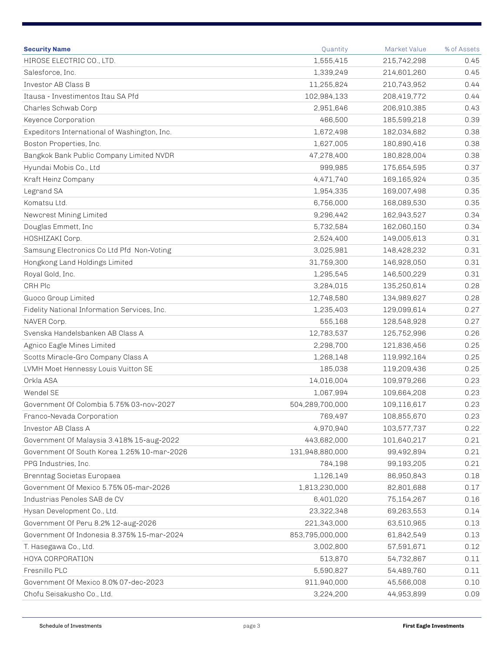| <b>Security Name</b>                         | Quantity        | Market Value | % of Assets |
|----------------------------------------------|-----------------|--------------|-------------|
| HIROSE ELECTRIC CO., LTD.                    | 1,555,415       | 215,742,298  | 0.45        |
| Salesforce, Inc.                             | 1,339,249       | 214,601,260  | 0.45        |
| Investor AB Class B                          | 11,255,824      | 210,743,952  | 0.44        |
| Itausa - Investimentos Itau SA Pfd           | 102,984,133     | 208,419,772  | 0.44        |
| Charles Schwab Corp                          | 2,951,646       | 206,910,385  | 0.43        |
| Keyence Corporation                          | 466,500         | 185,599,218  | 0.39        |
| Expeditors International of Washington, Inc. | 1,672,498       | 182,034,682  | 0.38        |
| Boston Properties, Inc.                      | 1,627,005       | 180,890,416  | 0.38        |
| Bangkok Bank Public Company Limited NVDR     | 47,278,400      | 180,828,004  | 0.38        |
| Hyundai Mobis Co., Ltd                       | 999,985         | 175,654,595  | 0.37        |
| Kraft Heinz Company                          | 4,471,740       | 169,165,924  | 0.35        |
| Legrand SA                                   | 1,954,335       | 169,007,498  | 0.35        |
| Komatsu Ltd.                                 | 6,756,000       | 168,089,530  | 0.35        |
| Newcrest Mining Limited                      | 9,296,442       | 162,943,527  | 0.34        |
| Douglas Emmett, Inc                          | 5,732,584       | 162,060,150  | 0.34        |
| HOSHIZAKI Corp.                              | 2,524,400       | 149,005,613  | 0.31        |
| Samsung Electronics Co Ltd Pfd Non-Voting    | 3,025,981       | 148,428,232  | 0.31        |
| Hongkong Land Holdings Limited               | 31,759,300      | 146,928,050  | 0.31        |
| Royal Gold, Inc.                             | 1,295,545       | 146,500,229  | 0.31        |
| CRH Plc                                      | 3,284,015       | 135,250,614  | 0.28        |
| Guoco Group Limited                          | 12,748,580      | 134,989,627  | 0.28        |
| Fidelity National Information Services, Inc. | 1,235,403       | 129,099,614  | 0.27        |
| NAVER Corp.                                  | 555,168         | 128,548,928  | 0.27        |
| Svenska Handelsbanken AB Class A             | 12,783,537      | 125,752,996  | 0.26        |
| Agnico Eagle Mines Limited                   | 2,298,700       | 121,836,456  | 0.25        |
| Scotts Miracle-Gro Company Class A           | 1,268,148       | 119,992,164  | 0.25        |
| LVMH Moet Hennessy Louis Vuitton SE          | 185,038         | 119,209,436  | 0.25        |
| Orkla ASA                                    | 14,016,004      | 109,979,266  | 0.23        |
| Wendel SE                                    | 1,067,994       | 109,664,208  | 0.23        |
| Government Of Colombia 5.75% 03-nov-2027     | 504,289,700,000 | 109,116,617  | 0.23        |
| Franco-Nevada Corporation                    | 769,497         | 108,855,670  | 0.23        |
| Investor AB Class A                          | 4,970,940       | 103,577,737  | 0.22        |
| Government Of Malaysia 3.418% 15-aug-2022    | 443,682,000     | 101,640,217  | 0.21        |
| Government Of South Korea 1.25% 10-mar-2026  | 131,948,880,000 | 99,492,894   | 0.21        |
| PPG Industries, Inc.                         | 784,198         | 99,193,205   | 0.21        |
| Brenntag Societas Europaea                   | 1,126,149       | 86,950,843   | 0.18        |
| Government Of Mexico 5.75% 05-mar-2026       | 1,813,230,000   | 82,801,688   | 0.17        |
| Industrias Penoles SAB de CV                 | 6,401,020       | 75,154,267   | 0.16        |
| Hysan Development Co., Ltd.                  | 23,322,348      | 69,263,553   | 0.14        |
| Government Of Peru 8.2% 12-aug-2026          | 221,343,000     | 63,510,965   | 0.13        |
| Government Of Indonesia 8.375% 15-mar-2024   | 853,795,000,000 | 61,842,549   | 0.13        |
| T. Hasegawa Co., Ltd.                        | 3,002,800       | 57,591,671   | 0.12        |
| HOYA CORPORATION                             | 513,870         | 54,732,867   | 0.11        |
| Fresnillo PLC                                | 5,590,827       | 54,489,760   | 0.11        |
| Government Of Mexico 8.0% 07-dec-2023        | 911,940,000     | 45,566,008   | 0.10        |
| Chofu Seisakusho Co., Ltd.                   | 3,224,200       | 44,953,899   | 0.09        |